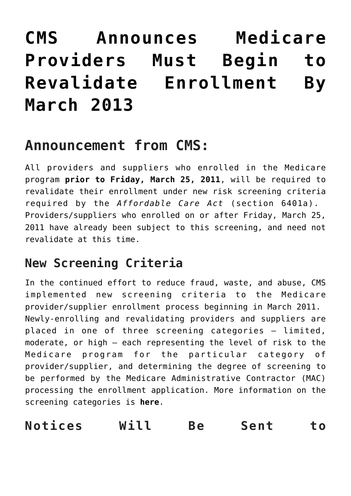# **[CMS Announces Medicare](https://managemypractice.com/cms-announces-medicare-providers-must-begin-to-revalidate-enrollment-by-march-2013/) [Providers Must Begin to](https://managemypractice.com/cms-announces-medicare-providers-must-begin-to-revalidate-enrollment-by-march-2013/) [Revalidate Enrollment By](https://managemypractice.com/cms-announces-medicare-providers-must-begin-to-revalidate-enrollment-by-march-2013/) [March 2013](https://managemypractice.com/cms-announces-medicare-providers-must-begin-to-revalidate-enrollment-by-march-2013/)**

## **Announcement from CMS:**

All providers and suppliers who enrolled in the Medicare program **prior to Friday, March 25, 2011**, will be required to revalidate their enrollment under new risk screening criteria required by the *Affordable Care Act* (section 6401a). Providers/suppliers who enrolled on or after Friday, March 25, 2011 have already been subject to this screening, and need not revalidate at this time.

#### **New Screening Criteria**

In the continued effort to reduce fraud, waste, and abuse, CMS implemented new screening criteria to the Medicare provider/supplier enrollment process beginning in March 2011. Newly-enrolling and revalidating providers and suppliers are placed in one of three screening categories – limited, moderate, or high – each representing the level of risk to the Medicare program for the particular category of provider/supplier, and determining the degree of screening to be performed by the Medicare Administrative Contractor (MAC) processing the enrollment application. More information on the screening categories is **[here](https://managemypractice.com/cms-starts-screening-providers-and-suppliers-and-adds-site-visits-and-fingerprint-based-criminal-background-checks-to-the-process/)**.